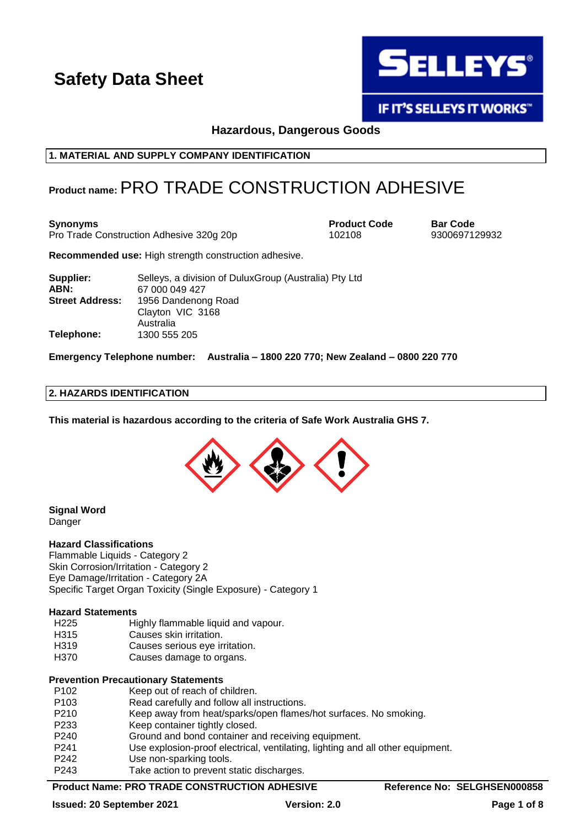

**IF IT'S SELLEYS IT WORKS"** 

**Hazardous, Dangerous Goods**

**1. MATERIAL AND SUPPLY COMPANY IDENTIFICATION**

## **Product name:**PRO TRADE CONSTRUCTION ADHESIVE

**Synonyms**<br> **Product Code Bar Code**<br> **Pro Trade Construction Adhesive 320g 20p Product Code Bar Code Barrow** 9300697129932 Pro Trade Construction Adhesive 320g 20p 102108

**Recommended use:** High strength construction adhesive.

| Supplier:              | Selleys, a division of Dulux Group (Australia) Pty Ltd |
|------------------------|--------------------------------------------------------|
| ABN:                   | 67 000 049 427                                         |
| <b>Street Address:</b> | 1956 Dandenong Road                                    |
|                        | Clayton VIC 3168                                       |
|                        | Australia                                              |
| Telephone:             | 1300 555 205                                           |

**Emergency Telephone number: Australia – 1800 220 770; New Zealand – 0800 220 770**

### **2. HAZARDS IDENTIFICATION**

**This material is hazardous according to the criteria of Safe Work Australia GHS 7.**



**Signal Word Danger** 

### **Hazard Classifications**

Flammable Liquids - Category 2 Skin Corrosion/Irritation - Category 2 Eye Damage/Irritation - Category 2A Specific Target Organ Toxicity (Single Exposure) - Category 1

### **Hazard Statements**

- H225 Highly flammable liquid and vapour.
- H315 Causes skin irritation.
- H319 Causes serious eye irritation.
- H370 Causes damage to organs.

### **Prevention Precautionary Statements**

| P <sub>102</sub> | Keep out of reach of children.                                                 |
|------------------|--------------------------------------------------------------------------------|
| P <sub>103</sub> | Read carefully and follow all instructions.                                    |
| P210             | Keep away from heat/sparks/open flames/hot surfaces. No smoking.               |
| P233             | Keep container tightly closed.                                                 |
| P <sub>240</sub> | Ground and bond container and receiving equipment.                             |
| P <sub>241</sub> | Use explosion-proof electrical, ventilating, lighting and all other equipment. |
| P <sub>242</sub> | Use non-sparking tools.                                                        |
| P243             | Take action to prevent static discharges.                                      |

### **Product Name: PRO TRADE CONSTRUCTION ADHESIVE Reference No: SELGHSEN000858**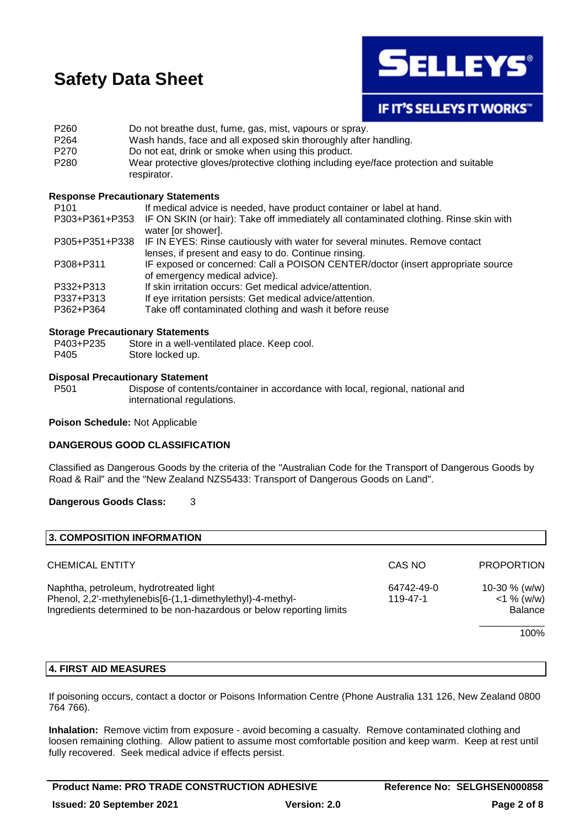

### **IF IT'S SELLEYS IT WORKS"**

| P260             | Do not breathe dust, fume, gas, mist, vapours or spray.                               |
|------------------|---------------------------------------------------------------------------------------|
| P264             | Wash hands, face and all exposed skin thoroughly after handling.                      |
| P270             | Do not eat, drink or smoke when using this product.                                   |
| P <sub>280</sub> | Wear protective gloves/protective clothing including eye/face protection and suitable |
|                  | respirator.                                                                           |

### **Response Precautionary Statements**

| P <sub>101</sub> | If medical advice is needed, have product container or label at hand.                                       |
|------------------|-------------------------------------------------------------------------------------------------------------|
| P303+P361+P353   | IF ON SKIN (or hair): Take off immediately all contaminated clothing. Rinse skin with<br>water [or shower]. |
| P305+P351+P338   | IF IN EYES: Rinse cautiously with water for several minutes. Remove contact                                 |
|                  | lenses, if present and easy to do. Continue rinsing.                                                        |
| P308+P311        | IF exposed or concerned: Call a POISON CENTER/doctor (insert appropriate source                             |
|                  | of emergency medical advice).                                                                               |
| P332+P313        | If skin irritation occurs: Get medical advice/attention.                                                    |
| P337+P313        | If eye irritation persists: Get medical advice/attention.                                                   |
| P362+P364        | Take off contaminated clothing and wash it before reuse                                                     |

### **Storage Precautionary Statements**

| P403+P235 | Store in a well-ventilated place. Keep cool. |
|-----------|----------------------------------------------|
| P405      | Store locked up.                             |

### **Disposal Precautionary Statement**

P501 Dispose of contents/container in accordance with local, regional, national and international regulations.

**Poison Schedule:** Not Applicable

### **DANGEROUS GOOD CLASSIFICATION**

Classified as Dangerous Goods by the criteria of the "Australian Code for the Transport of Dangerous Goods by Road & Rail" and the "New Zealand NZS5433: Transport of Dangerous Goods on Land".

### **Dangerous Goods Class:** 3

| 3. COMPOSITION INFORMATION                                                                                                                                                                            |        |                                                    |
|-------------------------------------------------------------------------------------------------------------------------------------------------------------------------------------------------------|--------|----------------------------------------------------|
| <b>CHEMICAL ENTITY</b>                                                                                                                                                                                | CAS NO | <b>PROPORTION</b>                                  |
| Naphtha, petroleum, hydrotreated light<br>64742-49-0<br>Phenol, 2,2'-methylenebis[6-(1,1-dimethylethyl)-4-methyl-<br>119-47-1<br>Ingredients determined to be non-hazardous or below reporting limits |        | 10-30 $% (w/w)$<br>$<$ 1 % (w/w)<br><b>Balance</b> |
|                                                                                                                                                                                                       |        | 100%                                               |

### **4. FIRST AID MEASURES**

If poisoning occurs, contact a doctor or Poisons Information Centre (Phone Australia 131 126, New Zealand 0800 764 766).

**Inhalation:** Remove victim from exposure - avoid becoming a casualty. Remove contaminated clothing and loosen remaining clothing. Allow patient to assume most comfortable position and keep warm. Keep at rest until fully recovered. Seek medical advice if effects persist.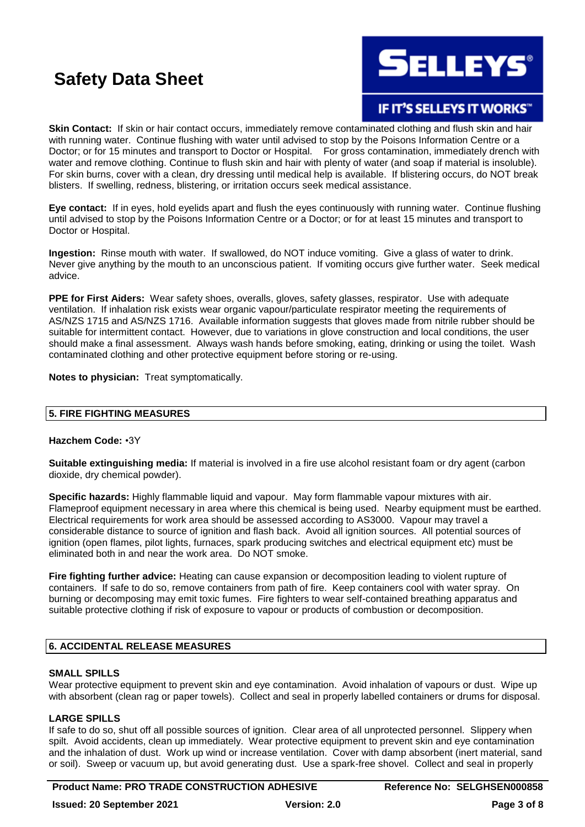**SELLEYS**®

## IF IT'S SELLEYS IT WORKS"

**Skin Contact:** If skin or hair contact occurs, immediately remove contaminated clothing and flush skin and hair with running water. Continue flushing with water until advised to stop by the Poisons Information Centre or a Doctor; or for 15 minutes and transport to Doctor or Hospital. For gross contamination, immediately drench with water and remove clothing. Continue to flush skin and hair with plenty of water (and soap if material is insoluble). For skin burns, cover with a clean, dry dressing until medical help is available. If blistering occurs, do NOT break blisters. If swelling, redness, blistering, or irritation occurs seek medical assistance.

**Eye contact:** If in eyes, hold eyelids apart and flush the eyes continuously with running water. Continue flushing until advised to stop by the Poisons Information Centre or a Doctor; or for at least 15 minutes and transport to Doctor or Hospital.

**Ingestion:** Rinse mouth with water. If swallowed, do NOT induce vomiting. Give a glass of water to drink. Never give anything by the mouth to an unconscious patient. If vomiting occurs give further water. Seek medical advice.

**PPE for First Aiders:** Wear safety shoes, overalls, gloves, safety glasses, respirator. Use with adequate ventilation. If inhalation risk exists wear organic vapour/particulate respirator meeting the requirements of AS/NZS 1715 and AS/NZS 1716. Available information suggests that gloves made from nitrile rubber should be suitable for intermittent contact. However, due to variations in glove construction and local conditions, the user should make a final assessment. Always wash hands before smoking, eating, drinking or using the toilet. Wash contaminated clothing and other protective equipment before storing or re-using.

**Notes to physician:** Treat symptomatically.

### **5. FIRE FIGHTING MEASURES**

### **Hazchem Code:** •3Y

**Suitable extinguishing media:** If material is involved in a fire use alcohol resistant foam or dry agent (carbon dioxide, dry chemical powder).

**Specific hazards:** Highly flammable liquid and vapour. May form flammable vapour mixtures with air. Flameproof equipment necessary in area where this chemical is being used. Nearby equipment must be earthed. Electrical requirements for work area should be assessed according to AS3000. Vapour may travel a considerable distance to source of ignition and flash back. Avoid all ignition sources. All potential sources of ignition (open flames, pilot lights, furnaces, spark producing switches and electrical equipment etc) must be eliminated both in and near the work area. Do NOT smoke.

**Fire fighting further advice:** Heating can cause expansion or decomposition leading to violent rupture of containers. If safe to do so, remove containers from path of fire. Keep containers cool with water spray. On burning or decomposing may emit toxic fumes. Fire fighters to wear self-contained breathing apparatus and suitable protective clothing if risk of exposure to vapour or products of combustion or decomposition.

### **6. ACCIDENTAL RELEASE MEASURES**

### **SMALL SPILLS**

Wear protective equipment to prevent skin and eye contamination. Avoid inhalation of vapours or dust. Wipe up with absorbent (clean rag or paper towels). Collect and seal in properly labelled containers or drums for disposal.

### **LARGE SPILLS**

If safe to do so, shut off all possible sources of ignition. Clear area of all unprotected personnel. Slippery when spilt. Avoid accidents, clean up immediately. Wear protective equipment to prevent skin and eye contamination and the inhalation of dust. Work up wind or increase ventilation. Cover with damp absorbent (inert material, sand or soil). Sweep or vacuum up, but avoid generating dust. Use a spark-free shovel. Collect and seal in properly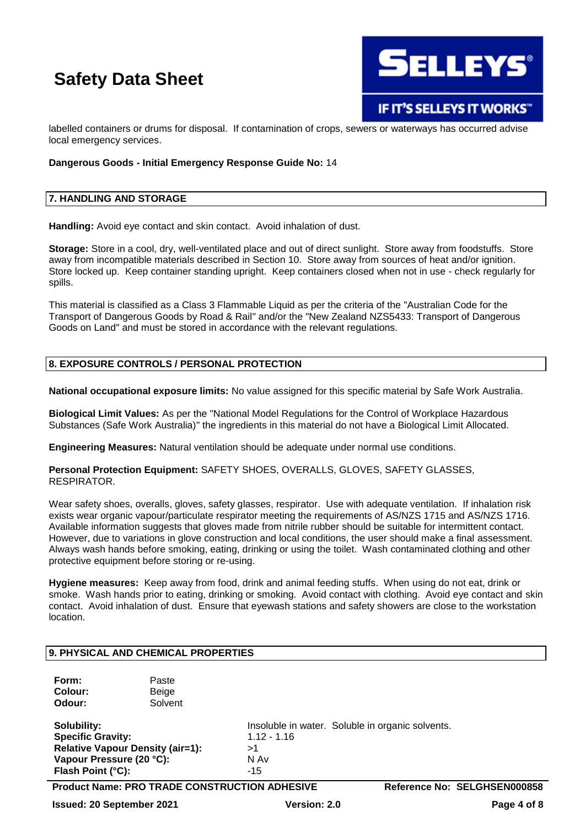

labelled containers or drums for disposal. If contamination of crops, sewers or waterways has occurred advise local emergency services.

### **Dangerous Goods - Initial Emergency Response Guide No:** 14

### **7. HANDLING AND STORAGE**

Handling: Avoid eye contact and skin contact. Avoid inhalation of dust.

**Storage:** Store in a cool, dry, well-ventilated place and out of direct sunlight. Store away from foodstuffs. Store away from incompatible materials described in Section 10. Store away from sources of heat and/or ignition. Store locked up. Keep container standing upright. Keep containers closed when not in use - check regularly for spills.

This material is classified as a Class 3 Flammable Liquid as per the criteria of the "Australian Code for the Transport of Dangerous Goods by Road & Rail" and/or the "New Zealand NZS5433: Transport of Dangerous Goods on Land" and must be stored in accordance with the relevant regulations.

### **8. EXPOSURE CONTROLS / PERSONAL PROTECTION**

**National occupational exposure limits:** No value assigned for this specific material by Safe Work Australia.

**Biological Limit Values:** As per the "National Model Regulations for the Control of Workplace Hazardous Substances (Safe Work Australia)" the ingredients in this material do not have a Biological Limit Allocated.

**Engineering Measures:** Natural ventilation should be adequate under normal use conditions.

**Personal Protection Equipment:** SAFETY SHOES, OVERALLS, GLOVES, SAFETY GLASSES, RESPIRATOR.

Wear safety shoes, overalls, gloves, safety glasses, respirator. Use with adequate ventilation. If inhalation risk exists wear organic vapour/particulate respirator meeting the requirements of AS/NZS 1715 and AS/NZS 1716. Available information suggests that gloves made from nitrile rubber should be suitable for intermittent contact. However, due to variations in glove construction and local conditions, the user should make a final assessment. Always wash hands before smoking, eating, drinking or using the toilet. Wash contaminated clothing and other protective equipment before storing or re-using.

**Hygiene measures:** Keep away from food, drink and animal feeding stuffs. When using do not eat, drink or smoke. Wash hands prior to eating, drinking or smoking. Avoid contact with clothing. Avoid eye contact and skin contact. Avoid inhalation of dust. Ensure that eyewash stations and safety showers are close to the workstation location.

### **9. PHYSICAL AND CHEMICAL PROPERTIES Form:** Paste **Colour:** Beige **Odour:** Solvent **Solubility:** Insoluble in water. Soluble in organic solvents. **Specific Gravity:** 1.12 - 1.16 **Relative Vapour Density (air=1):** >1<br>**Vapour Pressure (20 °C): N** Av **Vapour Pressure (20 °C): Flash Point (°C):** Physical Contract Contract Contract Contract Contract Contract Contract Contract Contract Contract Contract Contract Contract Contract Contract Contract Contract Contract Contract Contract Contract Cont

**Product Name: PRO TRADE CONSTRUCTION ADHESIVE Reference No: SELGHSEN000858**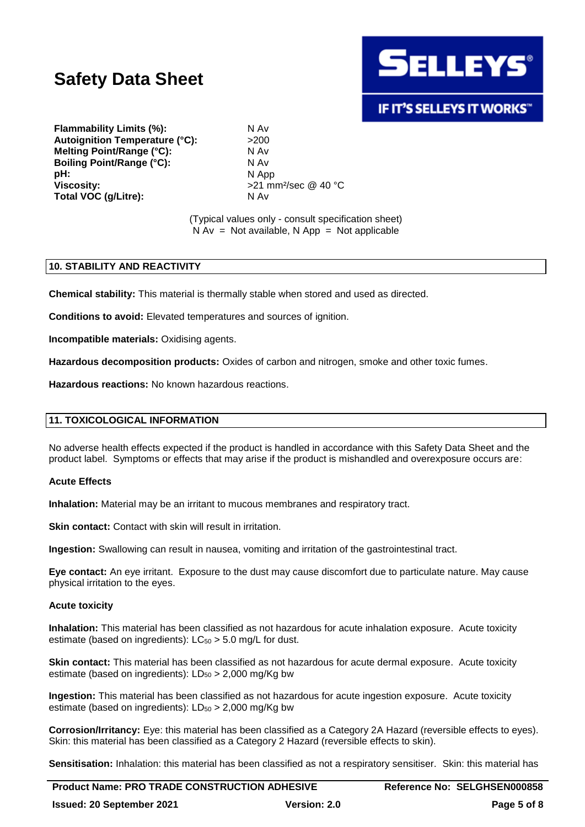

### **IF IT'S SELLEYS IT WORKS"**

**Flammability Limits (%):** N Av Autoignition Temperature (°C): >200 **Melting Point/Range (°C):** N Av **Boiling Point/Range (°C):** N Av **pH:** N App<br>Viscositv: N App **Total VOC (g/Litre):** N Av

**Viscosity:** >21 mm²/sec @ 40 °C

(Typical values only - consult specification sheet)  $N Av = Not available, N App = Not applicable$ 

### **10. STABILITY AND REACTIVITY**

**Chemical stability:** This material is thermally stable when stored and used as directed.

**Conditions to avoid:** Elevated temperatures and sources of ignition.

**Incompatible materials:** Oxidising agents.

**Hazardous decomposition products:** Oxides of carbon and nitrogen, smoke and other toxic fumes.

**Hazardous reactions:** No known hazardous reactions.

### **11. TOXICOLOGICAL INFORMATION**

No adverse health effects expected if the product is handled in accordance with this Safety Data Sheet and the product label. Symptoms or effects that may arise if the product is mishandled and overexposure occurs are:

### **Acute Effects**

**Inhalation:** Material may be an irritant to mucous membranes and respiratory tract.

**Skin contact:** Contact with skin will result in irritation.

**Ingestion:** Swallowing can result in nausea, vomiting and irritation of the gastrointestinal tract.

**Eye contact:** An eye irritant. Exposure to the dust may cause discomfort due to particulate nature. May cause physical irritation to the eyes.

### **Acute toxicity**

**Inhalation:** This material has been classified as not hazardous for acute inhalation exposure. Acute toxicity estimate (based on ingredients):  $LC_{50} > 5.0$  mg/L for dust.

**Skin contact:** This material has been classified as not hazardous for acute dermal exposure. Acute toxicity estimate (based on ingredients):  $LD_{50} > 2,000$  mg/Kg bw

**Ingestion:** This material has been classified as not hazardous for acute ingestion exposure. Acute toxicity estimate (based on ingredients):  $LD_{50} > 2,000$  mg/Kg bw

**Corrosion/Irritancy:** Eye: this material has been classified as a Category 2A Hazard (reversible effects to eyes). Skin: this material has been classified as a Category 2 Hazard (reversible effects to skin).

**Sensitisation:** Inhalation: this material has been classified as not a respiratory sensitiser. Skin: this material has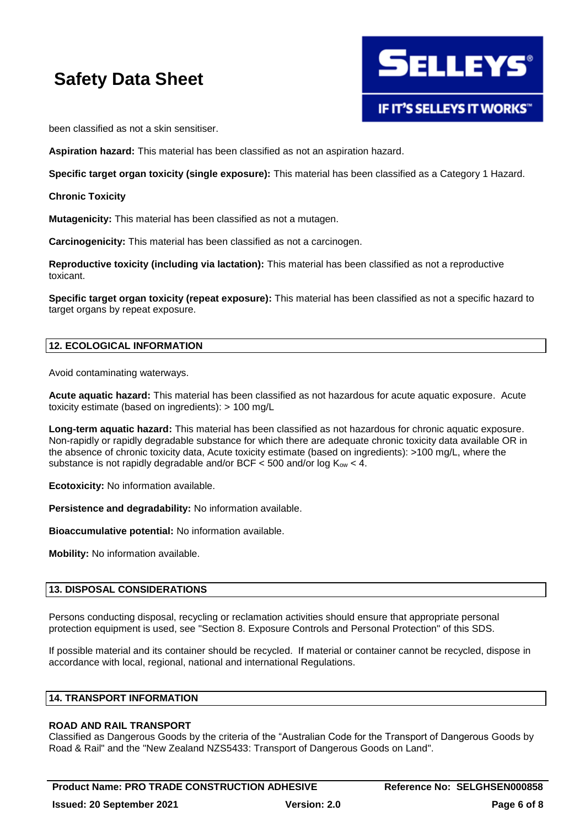

been classified as not a skin sensitiser.

**Aspiration hazard:** This material has been classified as not an aspiration hazard.

**Specific target organ toxicity (single exposure):** This material has been classified as a Category 1 Hazard.

**Chronic Toxicity**

**Mutagenicity:** This material has been classified as not a mutagen.

**Carcinogenicity:** This material has been classified as not a carcinogen.

**Reproductive toxicity (including via lactation):** This material has been classified as not a reproductive toxicant.

**Specific target organ toxicity (repeat exposure):** This material has been classified as not a specific hazard to target organs by repeat exposure.

### **12. ECOLOGICAL INFORMATION**

Avoid contaminating waterways.

**Acute aquatic hazard:** This material has been classified as not hazardous for acute aquatic exposure. Acute toxicity estimate (based on ingredients): > 100 mg/L

**Long-term aquatic hazard:** This material has been classified as not hazardous for chronic aquatic exposure. Non-rapidly or rapidly degradable substance for which there are adequate chronic toxicity data available OR in the absence of chronic toxicity data, Acute toxicity estimate (based on ingredients): >100 mg/L, where the substance is not rapidly degradable and/or BCF  $<$  500 and/or log  $K_{ow}$   $<$  4.

**Ecotoxicity:** No information available.

**Persistence and degradability:** No information available.

**Bioaccumulative potential:** No information available.

**Mobility:** No information available.

### **13. DISPOSAL CONSIDERATIONS**

Persons conducting disposal, recycling or reclamation activities should ensure that appropriate personal protection equipment is used, see "Section 8. Exposure Controls and Personal Protection" of this SDS.

If possible material and its container should be recycled. If material or container cannot be recycled, dispose in accordance with local, regional, national and international Regulations.

### **14. TRANSPORT INFORMATION**

### **ROAD AND RAIL TRANSPORT**

Classified as Dangerous Goods by the criteria of the "Australian Code for the Transport of Dangerous Goods by Road & Rail" and the "New Zealand NZS5433: Transport of Dangerous Goods on Land".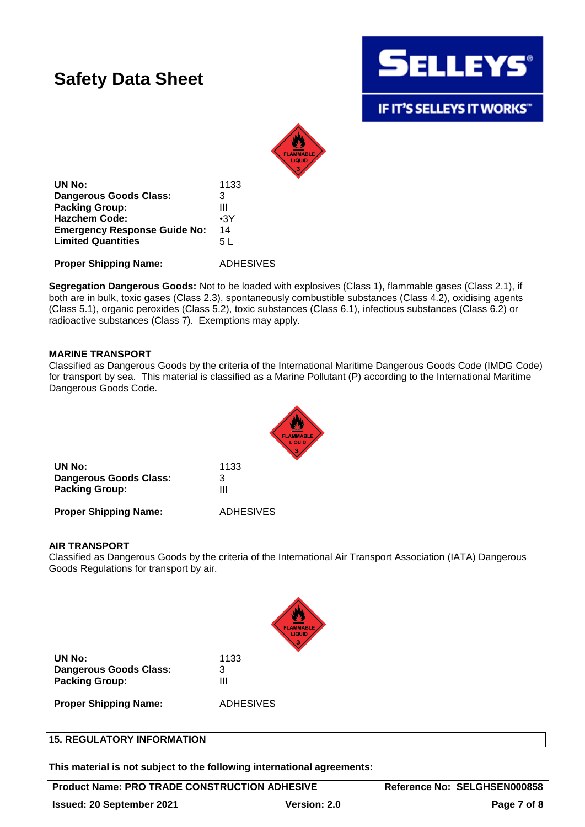

IF IT'S SELLEYS IT WORKS"



**UN No:** 1133 **Dangerous Goods Class:** 3 **Packing Group:** III **Hazchem Code:** •3Y **Emergency Response Guide No:** 14 **Limited Quantities** 5 L

**Proper Shipping Name:** ADHESIVES

**Segregation Dangerous Goods:** Not to be loaded with explosives (Class 1), flammable gases (Class 2.1), if both are in bulk, toxic gases (Class 2.3), spontaneously combustible substances (Class 4.2), oxidising agents (Class 5.1), organic peroxides (Class 5.2), toxic substances (Class 6.1), infectious substances (Class 6.2) or radioactive substances (Class 7). Exemptions may apply.

### **MARINE TRANSPORT**

Classified as Dangerous Goods by the criteria of the International Maritime Dangerous Goods Code (IMDG Code) for transport by sea. This material is classified as a Marine Pollutant (P) according to the International Maritime Dangerous Goods Code.



| UN No:                 | 1133 |
|------------------------|------|
| Dangerous Goods Class: | З    |
| <b>Packing Group:</b>  | Ш    |
|                        |      |

**Proper Shipping Name:** ADHESIVES

### **AIR TRANSPORT**

Classified as Dangerous Goods by the criteria of the International Air Transport Association (IATA) Dangerous Goods Regulations for transport by air.



| UN No:                       | 1133             |
|------------------------------|------------------|
| Dangerous Goods Class:       | 3                |
| <b>Packing Group:</b>        | Ш                |
| <b>Proper Shipping Name:</b> | <b>ADHESIVES</b> |

**15. REGULATORY INFORMATION**

**This material is not subject to the following international agreements:**

### **Product Name: PRO TRADE CONSTRUCTION ADHESIVE Reference No: SELGHSEN000858**